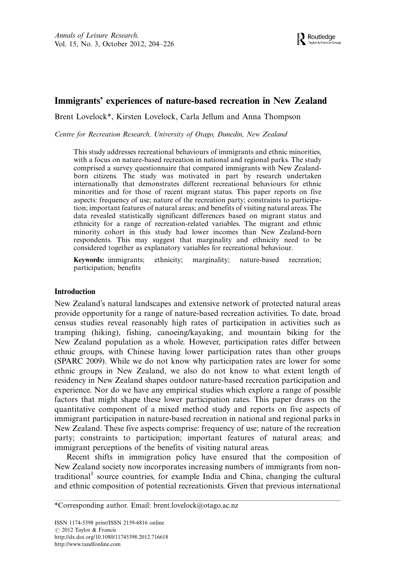# Immigrants' experiences of nature-based recreation in New Zealand

Brent Lovelock\*, Kirsten Lovelock, Carla Jellum and Anna Thompson

Centre for Recreation Research, University of Otago, Dunedin, New Zealand

This study addresses recreational behaviours of immigrants and ethnic minorities, with a focus on nature-based recreation in national and regional parks. The study comprised a survey questionnaire that compared immigrants with New Zealandborn citizens. The study was motivated in part by research undertaken internationally that demonstrates different recreational behaviours for ethnic minorities and for those of recent migrant status. This paper reports on five aspects: frequency of use; nature of the recreation party; constraints to participation; important features of natural areas; and benefits of visiting natural areas. The data revealed statistically significant differences based on migrant status and ethnicity for a range of recreation-related variables. The migrant and ethnic minority cohort in this study had lower incomes than New Zealand-born respondents. This may suggest that marginality and ethnicity need to be considered together as explanatory variables for recreational behaviour.

Keywords: immigrants; ethnicity; marginality; nature-based recreation; participation; benefits

### Introduction

New Zealand's natural landscapes and extensive network of protected natural areas provide opportunity for a range of nature-based recreation activities. To date, broad census studies reveal reasonably high rates of participation in activities such as tramping (hiking), fishing, canoeing/kayaking, and mountain biking for the New Zealand population as a whole. However, participation rates differ between ethnic groups, with Chinese having lower participation rates than other groups (SPARC 2009). While we do not know why participation rates are lower for some ethnic groups in New Zealand, we also do not know to what extent length of residency in New Zealand shapes outdoor nature-based recreation participation and experience. Nor do we have any empirical studies which explore a range of possible factors that might shape these lower participation rates. This paper draws on the quantitative component of a mixed method study and reports on five aspects of immigrant participation in nature-based recreation in national and regional parks in New Zealand. These five aspects comprise: frequency of use; nature of the recreation party; constraints to participation; important features of natural areas; and immigrant perceptions of the benefits of visiting natural areas.

Recent shifts in immigration policy have ensured that the composition of New Zealand society now incorporates increasing numbers of immigrants from nontraditional<sup>1</sup> source countries, for example India and China, changing the cultural and ethnic composition of potential recreationists. Given that previous international

<sup>\*</sup>Corresponding author. Email: brent.lovelock@otago.ac.nz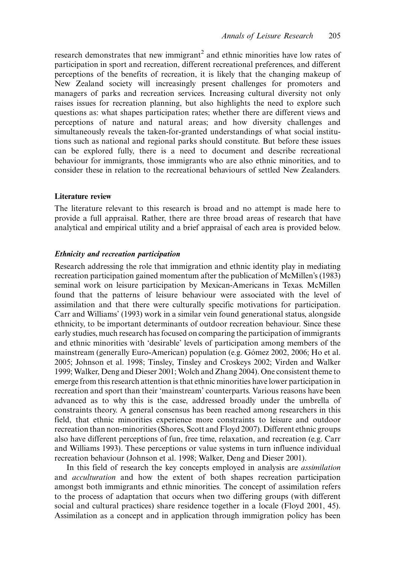research demonstrates that new immigrant<sup>2</sup> and ethnic minorities have low rates of participation in sport and recreation, different recreational preferences, and different perceptions of the benefits of recreation, it is likely that the changing makeup of New Zealand society will increasingly present challenges for promoters and managers of parks and recreation services. Increasing cultural diversity not only raises issues for recreation planning, but also highlights the need to explore such questions as: what shapes participation rates; whether there are different views and perceptions of nature and natural areas; and how diversity challenges and simultaneously reveals the taken-for-granted understandings of what social institutions such as national and regional parks should constitute. But before these issues can be explored fully, there is a need to document and describe recreational behaviour for immigrants, those immigrants who are also ethnic minorities, and to consider these in relation to the recreational behaviours of settled New Zealanders.

### Literature review

The literature relevant to this research is broad and no attempt is made here to provide a full appraisal. Rather, there are three broad areas of research that have analytical and empirical utility and a brief appraisal of each area is provided below.

# Ethnicity and recreation participation

Research addressing the role that immigration and ethnic identity play in mediating recreation participation gained momentum after the publication of McMillen's (1983) seminal work on leisure participation by Mexican-Americans in Texas. McMillen found that the patterns of leisure behaviour were associated with the level of assimilation and that there were culturally specific motivations for participation. Carr and Williams' (1993) work in a similar vein found generational status, alongside ethnicity, to be important determinants of outdoor recreation behaviour. Since these early studies, much research has focused on comparing the participation of immigrants and ethnic minorities with 'desirable' levels of participation among members of the mainstream (generally Euro-American) population (e.g. Gómez 2002, 2006; Ho et al. 2005; Johnson et al. 1998; Tinsley, Tinsley and Croskeys 2002; Virden and Walker 1999; Walker, Deng and Dieser 2001; Wolch and Zhang 2004). One consistent theme to emerge from this research attention is that ethnic minorities have lower participation in recreation and sport than their 'mainstream' counterparts. Various reasons have been advanced as to why this is the case, addressed broadly under the umbrella of constraints theory. A general consensus has been reached among researchers in this field, that ethnic minorities experience more constraints to leisure and outdoor recreation than non-minorities (Shores, Scott and Floyd 2007). Different ethnic groups also have different perceptions of fun, free time, relaxation, and recreation (e.g. Carr and Williams 1993). These perceptions or value systems in turn influence individual recreation behaviour (Johnson et al. 1998; Walker, Deng and Dieser 2001).

In this field of research the key concepts employed in analysis are assimilation and acculturation and how the extent of both shapes recreation participation amongst both immigrants and ethnic minorities. The concept of assimilation refers to the process of adaptation that occurs when two differing groups (with different social and cultural practices) share residence together in a locale (Floyd 2001, 45). Assimilation as a concept and in application through immigration policy has been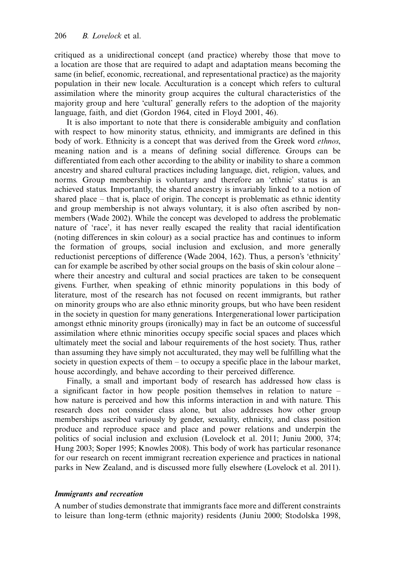critiqued as a unidirectional concept (and practice) whereby those that move to a location are those that are required to adapt and adaptation means becoming the same (in belief, economic, recreational, and representational practice) as the majority population in their new locale. Acculturation is a concept which refers to cultural assimilation where the minority group acquires the cultural characteristics of the majority group and here 'cultural' generally refers to the adoption of the majority language, faith, and diet (Gordon 1964, cited in Floyd 2001, 46).

It is also important to note that there is considerable ambiguity and conflation with respect to how minority status, ethnicity, and immigrants are defined in this body of work. Ethnicity is a concept that was derived from the Greek word ethnos, meaning nation and is a means of defining social difference. Groups can be differentiated from each other according to the ability or inability to share a common ancestry and shared cultural practices including language, diet, religion, values, and norms. Group membership is voluntary and therefore an 'ethnic' status is an achieved status. Importantly, the shared ancestry is invariably linked to a notion of shared place  $-$  that is, place of origin. The concept is problematic as ethnic identity and group membership is not always voluntary, it is also often ascribed by nonmembers (Wade 2002). While the concept was developed to address the problematic nature of 'race', it has never really escaped the reality that racial identification (noting differences in skin colour) as a social practice has and continues to inform the formation of groups, social inclusion and exclusion, and more generally reductionist perceptions of difference (Wade 2004, 162). Thus, a person's 'ethnicity' can for example be ascribed by other social groups on the basis of skin colour alone where their ancestry and cultural and social practices are taken to be consequent givens. Further, when speaking of ethnic minority populations in this body of literature, most of the research has not focused on recent immigrants, but rather on minority groups who are also ethnic minority groups, but who have been resident in the society in question for many generations. Intergenerational lower participation amongst ethnic minority groups (ironically) may in fact be an outcome of successful assimilation where ethnic minorities occupy specific social spaces and places which ultimately meet the social and labour requirements of the host society. Thus, rather than assuming they have simply not acculturated, they may well be fulfilling what the society in question expects of them  $-$  to occupy a specific place in the labour market, house accordingly, and behave according to their perceived difference.

Finally, a small and important body of research has addressed how class is a significant factor in how people position themselves in relation to nature how nature is perceived and how this informs interaction in and with nature. This research does not consider class alone, but also addresses how other group memberships ascribed variously by gender, sexuality, ethnicity, and class position produce and reproduce space and place and power relations and underpin the politics of social inclusion and exclusion (Lovelock et al. 2011; Juniu 2000, 374; Hung 2003; Soper 1995; Knowles 2008). This body of work has particular resonance for our research on recent immigrant recreation experience and practices in national parks in New Zealand, and is discussed more fully elsewhere (Lovelock et al. 2011).

### Immigrants and recreation

A number of studies demonstrate that immigrants face more and different constraints to leisure than long-term (ethnic majority) residents (Juniu 2000; Stodolska 1998,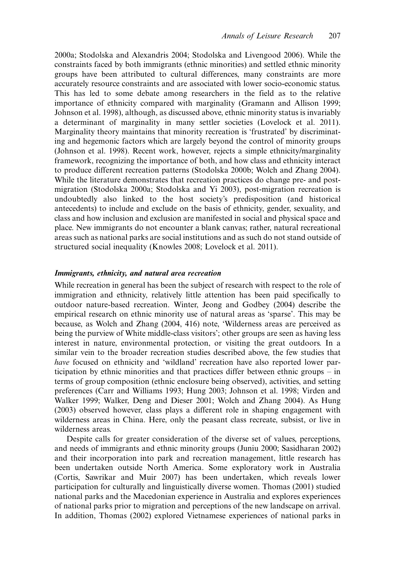2000a; Stodolska and Alexandris 2004; Stodolska and Livengood 2006). While the constraints faced by both immigrants (ethnic minorities) and settled ethnic minority groups have been attributed to cultural differences, many constraints are more accurately resource constraints and are associated with lower socio-economic status. This has led to some debate among researchers in the field as to the relative importance of ethnicity compared with marginality (Gramann and Allison 1999; Johnson et al. 1998), although, as discussed above, ethnic minority status is invariably a determinant of marginality in many settler societies (Lovelock et al. 2011). Marginality theory maintains that minority recreation is 'frustrated' by discriminating and hegemonic factors which are largely beyond the control of minority groups (Johnson et al. 1998). Recent work, however, rejects a simple ethnicity/marginality framework, recognizing the importance of both, and how class and ethnicity interact to produce different recreation patterns (Stodolska 2000b; Wolch and Zhang 2004). While the literature demonstrates that recreation practices do change pre- and postmigration (Stodolska 2000a; Stodolska and Yi 2003), post-migration recreation is undoubtedly also linked to the host society's predisposition (and historical antecedents) to include and exclude on the basis of ethnicity, gender, sexuality, and class and how inclusion and exclusion are manifested in social and physical space and place. New immigrants do not encounter a blank canvas; rather, natural recreational areas such as national parks are social institutions and as such do not stand outside of structured social inequality (Knowles 2008; Lovelock et al. 2011).

### Immigrants, ethnicity, and natural area recreation

While recreation in general has been the subject of research with respect to the role of immigration and ethnicity, relatively little attention has been paid specifically to outdoor nature-based recreation. Winter, Jeong and Godbey (2004) describe the empirical research on ethnic minority use of natural areas as 'sparse'. This may be because, as Wolch and Zhang (2004, 416) note, 'Wilderness areas are perceived as being the purview of White middle-class visitors'; other groups are seen as having less interest in nature, environmental protection, or visiting the great outdoors. In a similar vein to the broader recreation studies described above, the few studies that have focused on ethnicity and 'wildland' recreation have also reported lower participation by ethnic minorities and that practices differ between ethnic groups  $-$  in terms of group composition (ethnic enclosure being observed), activities, and setting preferences (Carr and Williams 1993; Hung 2003; Johnson et al. 1998; Virden and Walker 1999; Walker, Deng and Dieser 2001; Wolch and Zhang 2004). As Hung (2003) observed however, class plays a different role in shaping engagement with wilderness areas in China. Here, only the peasant class recreate, subsist, or live in wilderness areas.

Despite calls for greater consideration of the diverse set of values, perceptions, and needs of immigrants and ethnic minority groups (Juniu 2000; Sasidharan 2002) and their incorporation into park and recreation management, little research has been undertaken outside North America. Some exploratory work in Australia (Cortis, Sawrikar and Muir 2007) has been undertaken, which reveals lower participation for culturally and linguistically diverse women. Thomas (2001) studied national parks and the Macedonian experience in Australia and explores experiences of national parks prior to migration and perceptions of the new landscape on arrival. In addition, Thomas (2002) explored Vietnamese experiences of national parks in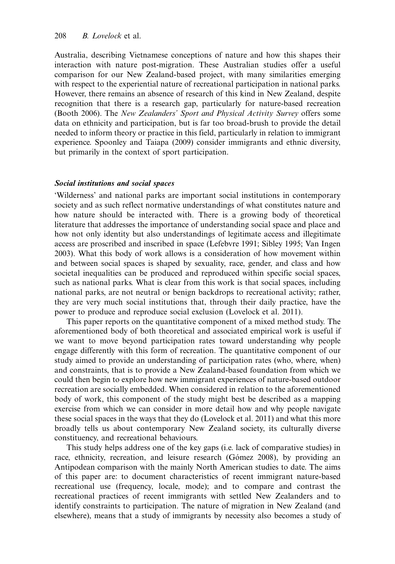Australia, describing Vietnamese conceptions of nature and how this shapes their interaction with nature post-migration. These Australian studies offer a useful comparison for our New Zealand-based project, with many similarities emerging with respect to the experiential nature of recreational participation in national parks. However, there remains an absence of research of this kind in New Zealand, despite recognition that there is a research gap, particularly for nature-based recreation (Booth 2006). The New Zealanders' Sport and Physical Activity Survey offers some data on ethnicity and participation, but is far too broad-brush to provide the detail needed to inform theory or practice in this field, particularly in relation to immigrant experience. Spoonley and Taiapa (2009) consider immigrants and ethnic diversity, but primarily in the context of sport participation.

### Social institutions and social spaces

'Wilderness' and national parks are important social institutions in contemporary society and as such reflect normative understandings of what constitutes nature and how nature should be interacted with. There is a growing body of theoretical literature that addresses the importance of understanding social space and place and how not only identity but also understandings of legitimate access and illegitimate access are proscribed and inscribed in space (Lefebvre 1991; Sibley 1995; Van Ingen 2003). What this body of work allows is a consideration of how movement within and between social spaces is shaped by sexuality, race, gender, and class and how societal inequalities can be produced and reproduced within specific social spaces, such as national parks. What is clear from this work is that social spaces, including national parks, are not neutral or benign backdrops to recreational activity; rather, they are very much social institutions that, through their daily practice, have the power to produce and reproduce social exclusion (Lovelock et al. 2011).

This paper reports on the quantitative component of a mixed method study. The aforementioned body of both theoretical and associated empirical work is useful if we want to move beyond participation rates toward understanding why people engage differently with this form of recreation. The quantitative component of our study aimed to provide an understanding of participation rates (who, where, when) and constraints, that is to provide a New Zealand-based foundation from which we could then begin to explore how new immigrant experiences of nature-based outdoor recreation are socially embedded. When considered in relation to the aforementioned body of work, this component of the study might best be described as a mapping exercise from which we can consider in more detail how and why people navigate these social spaces in the ways that they do (Lovelock et al. 2011) and what this more broadly tells us about contemporary New Zealand society, its culturally diverse constituency, and recreational behaviours.

This study helps address one of the key gaps (i.e. lack of comparative studies) in race, ethnicity, recreation, and leisure research (Gómez 2008), by providing an Antipodean comparison with the mainly North American studies to date. The aims of this paper are: to document characteristics of recent immigrant nature-based recreational use (frequency, locale, mode); and to compare and contrast the recreational practices of recent immigrants with settled New Zealanders and to identify constraints to participation. The nature of migration in New Zealand (and elsewhere), means that a study of immigrants by necessity also becomes a study of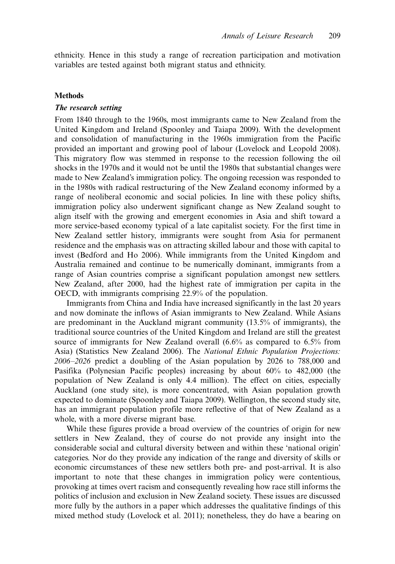ethnicity. Hence in this study a range of recreation participation and motivation variables are tested against both migrant status and ethnicity.

#### Methods

#### The research setting

From 1840 through to the 1960s, most immigrants came to New Zealand from the United Kingdom and Ireland (Spoonley and Taiapa 2009). With the development and consolidation of manufacturing in the 1960s immigration from the Pacific provided an important and growing pool of labour (Lovelock and Leopold 2008). This migratory flow was stemmed in response to the recession following the oil shocks in the 1970s and it would not be until the 1980s that substantial changes were made to New Zealand's immigration policy. The ongoing recession was responded to in the 1980s with radical restructuring of the New Zealand economy informed by a range of neoliberal economic and social policies. In line with these policy shifts, immigration policy also underwent significant change as New Zealand sought to align itself with the growing and emergent economies in Asia and shift toward a more service-based economy typical of a late capitalist society. For the first time in New Zealand settler history, immigrants were sought from Asia for permanent residence and the emphasis was on attracting skilled labour and those with capital to invest (Bedford and Ho 2006). While immigrants from the United Kingdom and Australia remained and continue to be numerically dominant, immigrants from a range of Asian countries comprise a significant population amongst new settlers. New Zealand, after 2000, had the highest rate of immigration per capita in the OECD, with immigrants comprising 22.9% of the population.

Immigrants from China and India have increased significantly in the last 20 years and now dominate the inflows of Asian immigrants to New Zealand. While Asians are predominant in the Auckland migrant community (13.5% of immigrants), the traditional source countries of the United Kingdom and Ireland are still the greatest source of immigrants for New Zealand overall (6.6% as compared to 6.5% from Asia) (Statistics New Zealand 2006). The National Ethnic Population Projections:  $2006 - 2026$  predict a doubling of the Asian population by 2026 to 788,000 and Pasifika (Polynesian Pacific peoples) increasing by about 60% to 482,000 (the population of New Zealand is only 4.4 million). The effect on cities, especially Auckland (one study site), is more concentrated, with Asian population growth expected to dominate (Spoonley and Taiapa 2009). Wellington, the second study site, has an immigrant population profile more reflective of that of New Zealand as a whole, with a more diverse migrant base.

While these figures provide a broad overview of the countries of origin for new settlers in New Zealand, they of course do not provide any insight into the considerable social and cultural diversity between and within these 'national origin' categories. Nor do they provide any indication of the range and diversity of skills or economic circumstances of these new settlers both pre- and post-arrival. It is also important to note that these changes in immigration policy were contentious, provoking at times overt racism and consequently revealing how race still informs the politics of inclusion and exclusion in New Zealand society. These issues are discussed more fully by the authors in a paper which addresses the qualitative findings of this mixed method study (Lovelock et al. 2011); nonetheless, they do have a bearing on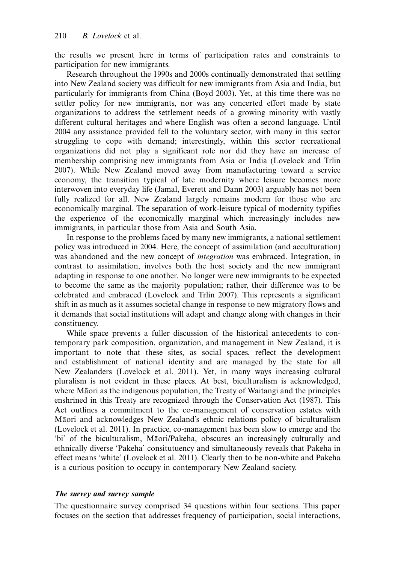the results we present here in terms of participation rates and constraints to participation for new immigrants.

Research throughout the 1990s and 2000s continually demonstrated that settling into New Zealand society was difficult for new immigrants from Asia and India, but particularly for immigrants from China (Boyd 2003). Yet, at this time there was no settler policy for new immigrants, nor was any concerted effort made by state organizations to address the settlement needs of a growing minority with vastly different cultural heritages and where English was often a second language. Until 2004 any assistance provided fell to the voluntary sector, with many in this sector struggling to cope with demand; interestingly, within this sector recreational organizations did not play a significant role nor did they have an increase of membership comprising new immigrants from Asia or India (Lovelock and Trlin 2007). While New Zealand moved away from manufacturing toward a service economy, the transition typical of late modernity where leisure becomes more interwoven into everyday life (Jamal, Everett and Dann 2003) arguably has not been fully realized for all. New Zealand largely remains modern for those who are economically marginal. The separation of work-leisure typical of modernity typifies the experience of the economically marginal which increasingly includes new immigrants, in particular those from Asia and South Asia.

In response to the problems faced by many new immigrants, a national settlement policy was introduced in 2004. Here, the concept of assimilation (and acculturation) was abandoned and the new concept of *integration* was embraced. Integration, in contrast to assimilation, involves both the host society and the new immigrant adapting in response to one another. No longer were new immigrants to be expected to become the same as the majority population; rather, their difference was to be celebrated and embraced (Lovelock and Trlin 2007). This represents a significant shift in as much as it assumes societal change in response to new migratory flows and it demands that social institutions will adapt and change along with changes in their constituency.

While space prevents a fuller discussion of the historical antecedents to contemporary park composition, organization, and management in New Zealand, it is important to note that these sites, as social spaces, reflect the development and establishment of national identity and are managed by the state for all New Zealanders (Lovelock et al. 2011). Yet, in many ways increasing cultural pluralism is not evident in these places. At best, biculturalism is acknowledged, where Māori as the indigenous population, the Treaty of Waitangi and the principles enshrined in this Treaty are recognized through the Conservation Act (1987). This Act outlines a commitment to the co-management of conservation estates with Māori and acknowledges New Zealand's ethnic relations policy of biculturalism (Lovelock et al. 2011). In practice, co-management has been slow to emerge and the 'bi' of the biculturalism, Māori/Pakeha, obscures an increasingly culturally and ethnically diverse 'Pakeha' consitutuency and simultaneously reveals that Pakeha in effect means 'white' (Lovelock et al. 2011). Clearly then to be non-white and Pakeha is a curious position to occupy in contemporary New Zealand society.

### The survey and survey sample

The questionnaire survey comprised 34 questions within four sections. This paper focuses on the section that addresses frequency of participation, social interactions,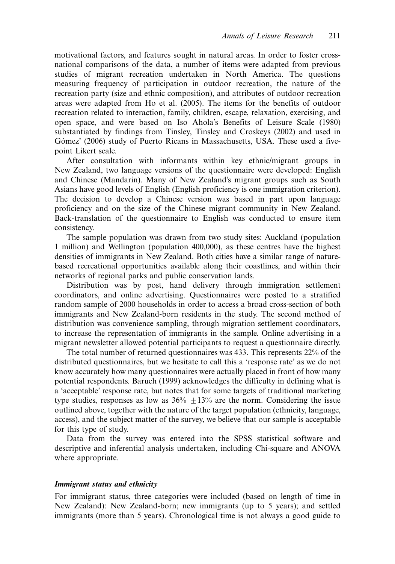motivational factors, and features sought in natural areas. In order to foster crossnational comparisons of the data, a number of items were adapted from previous studies of migrant recreation undertaken in North America. The questions measuring frequency of participation in outdoor recreation, the nature of the recreation party (size and ethnic composition), and attributes of outdoor recreation areas were adapted from Ho et al. (2005). The items for the benefits of outdoor recreation related to interaction, family, children, escape, relaxation, exercising, and open space, and were based on Iso Ahola's Benefits of Leisure Scale (1980) substantiated by findings from Tinsley, Tinsley and Croskeys (2002) and used in Gómez' (2006) study of Puerto Ricans in Massachusetts, USA. These used a fivepoint Likert scale.

After consultation with informants within key ethnic/migrant groups in New Zealand, two language versions of the questionnaire were developed: English and Chinese (Mandarin). Many of New Zealand's migrant groups such as South Asians have good levels of English (English proficiency is one immigration criterion). The decision to develop a Chinese version was based in part upon language proficiency and on the size of the Chinese migrant community in New Zealand. Back-translation of the questionnaire to English was conducted to ensure item consistency.

The sample population was drawn from two study sites: Auckland (population 1 million) and Wellington (population 400,000), as these centres have the highest densities of immigrants in New Zealand. Both cities have a similar range of naturebased recreational opportunities available along their coastlines, and within their networks of regional parks and public conservation lands.

Distribution was by post, hand delivery through immigration settlement coordinators, and online advertising. Questionnaires were posted to a stratified random sample of 2000 households in order to access a broad cross-section of both immigrants and New Zealand-born residents in the study. The second method of distribution was convenience sampling, through migration settlement coordinators, to increase the representation of immigrants in the sample. Online advertising in a migrant newsletter allowed potential participants to request a questionnaire directly.

The total number of returned questionnaires was 433. This represents 22% of the distributed questionnaires, but we hesitate to call this a 'response rate' as we do not know accurately how many questionnaires were actually placed in front of how many potential respondents. Baruch (1999) acknowledges the difficulty in defining what is a 'acceptable' response rate, but notes that for some targets of traditional marketing type studies, responses as low as  $36\% \pm 13\%$  are the norm. Considering the issue outlined above, together with the nature of the target population (ethnicity, language, access), and the subject matter of the survey, we believe that our sample is acceptable for this type of study.

Data from the survey was entered into the SPSS statistical software and descriptive and inferential analysis undertaken, including Chi-square and ANOVA where appropriate.

#### Immigrant status and ethnicity

For immigrant status, three categories were included (based on length of time in New Zealand): New Zealand-born; new immigrants (up to 5 years); and settled immigrants (more than 5 years). Chronological time is not always a good guide to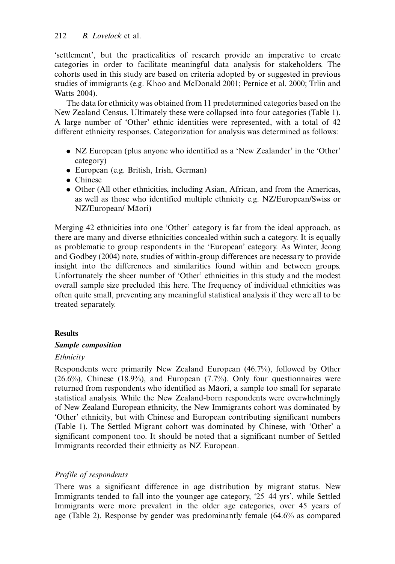'settlement', but the practicalities of research provide an imperative to create categories in order to facilitate meaningful data analysis for stakeholders. The cohorts used in this study are based on criteria adopted by or suggested in previous studies of immigrants (e.g. Khoo and McDonald 2001; Pernice et al. 2000; Trlin and Watts 2004).

The data for ethnicity was obtained from 11 predetermined categories based on the New Zealand Census. Ultimately these were collapsed into four categories (Table 1). A large number of 'Other' ethnic identities were represented, with a total of 42 different ethnicity responses. Categorization for analysis was determined as follows:

- . NZ European (plus anyone who identified as a 'New Zealander' in the 'Other' category)
- . European (e.g. British, Irish, German)
- Chinese
- . Other (All other ethnicities, including Asian, African, and from the Americas, as well as those who identified multiple ethnicity e.g. NZ/European/Swiss or NZ/European/ Māori)

Merging 42 ethnicities into one 'Other' category is far from the ideal approach, as there are many and diverse ethnicities concealed within such a category. It is equally as problematic to group respondents in the 'European' category. As Winter, Jeong and Godbey (2004) note, studies of within-group differences are necessary to provide insight into the differences and similarities found within and between groups. Unfortunately the sheer number of 'Other' ethnicities in this study and the modest overall sample size precluded this here. The frequency of individual ethnicities was often quite small, preventing any meaningful statistical analysis if they were all to be treated separately.

# **Results**

# Sample composition

# Ethnicity

Respondents were primarily New Zealand European (46.7%), followed by Other  $(26.6\%)$ , Chinese  $(18.9\%)$ , and European  $(7.7\%)$ . Only four questionnaires were returned from respondents who identified as Māori, a sample too small for separate statistical analysis. While the New Zealand-born respondents were overwhelmingly of New Zealand European ethnicity, the New Immigrants cohort was dominated by 'Other' ethnicity, but with Chinese and European contributing significant numbers (Table 1). The Settled Migrant cohort was dominated by Chinese, with 'Other' a significant component too. It should be noted that a significant number of Settled Immigrants recorded their ethnicity as NZ European.

# Profile of respondents

There was a significant difference in age distribution by migrant status. New Immigrants tended to fall into the younger age category, '25–44 yrs', while Settled Immigrants were more prevalent in the older age categories, over 45 years of age (Table 2). Response by gender was predominantly female (64.6% as compared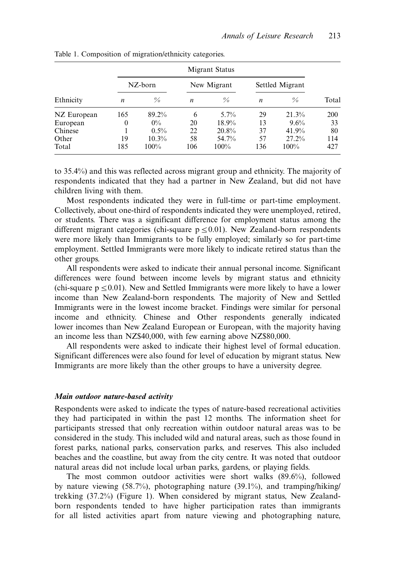| Ethnicity   |          |               |     | Migrant Status |                 |               |       |
|-------------|----------|---------------|-----|----------------|-----------------|---------------|-------|
|             | NZ-born  |               |     | New Migrant    | Settled Migrant |               |       |
|             | n        | $\frac{0}{0}$ | n   | $\frac{0}{0}$  | n               | $\frac{0}{0}$ | Total |
| NZ European | 165      | 89.2%         | 6   | $5.7\%$        | 29              | 21.3%         | 200   |
| European    | $\theta$ | $0\%$         | 20  | 18.9%          | 13              | 9.6%          | 33    |
| Chinese     |          | $0.5\%$       | 22  | 20.8%          | 37              | 41.9%         | 80    |
| Other       | 19       | $10.3\%$      | 58  | 54.7%          | 57              | $27.2\%$      | 114   |
| Total       | 185      | 100%          | 106 | $100\%$        | 136             | $100\%$       | 427   |

Table 1. Composition of migration/ethnicity categories.

to 35.4%) and this was reflected across migrant group and ethnicity. The majority of respondents indicated that they had a partner in New Zealand, but did not have children living with them.

Most respondents indicated they were in full-time or part-time employment. Collectively, about one-third of respondents indicated they were unemployed, retired, or students. There was a significant difference for employment status among the different migrant categories (chi-square  $p \le 0.01$ ). New Zealand-born respondents were more likely than Immigrants to be fully employed; similarly so for part-time employment. Settled Immigrants were more likely to indicate retired status than the other groups.

All respondents were asked to indicate their annual personal income. Significant differences were found between income levels by migrant status and ethnicity (chi-square  $p \le 0.01$ ). New and Settled Immigrants were more likely to have a lower income than New Zealand-born respondents. The majority of New and Settled Immigrants were in the lowest income bracket. Findings were similar for personal income and ethnicity. Chinese and Other respondents generally indicated lower incomes than New Zealand European or European, with the majority having an income less than NZ\$40,000, with few earning above NZ\$80,000.

All respondents were asked to indicate their highest level of formal education. Significant differences were also found for level of education by migrant status. New Immigrants are more likely than the other groups to have a university degree.

#### Main outdoor nature-based activity

Respondents were asked to indicate the types of nature-based recreational activities they had participated in within the past 12 months. The information sheet for participants stressed that only recreation within outdoor natural areas was to be considered in the study. This included wild and natural areas, such as those found in forest parks, national parks, conservation parks, and reserves. This also included beaches and the coastline, but away from the city centre. It was noted that outdoor natural areas did not include local urban parks, gardens, or playing fields.

The most common outdoor activities were short walks (89.6%), followed by nature viewing (58.7%), photographing nature (39.1%), and tramping/hiking/ trekking (37.2%) (Figure 1). When considered by migrant status, New Zealandborn respondents tended to have higher participation rates than immigrants for all listed activities apart from nature viewing and photographing nature,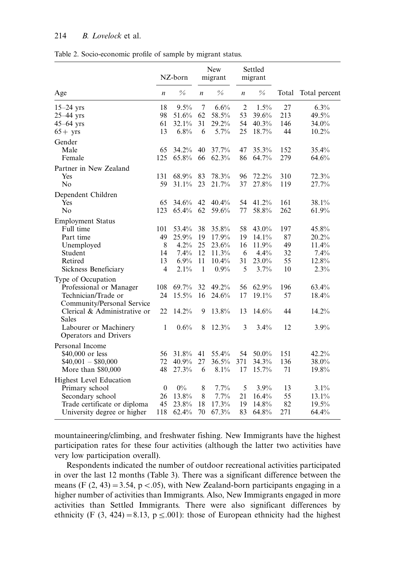# 214 B. Lovelock et al.

|                              |                  | NZ-born       |                  | New<br>migrant |                  | Settled<br>migrant |       |               |
|------------------------------|------------------|---------------|------------------|----------------|------------------|--------------------|-------|---------------|
| Age                          | $\boldsymbol{n}$ | $\frac{0}{0}$ | $\boldsymbol{n}$ | $\frac{0}{0}$  | $\boldsymbol{n}$ | $\frac{0}{0}$      | Total | Total percent |
| $15-24$ yrs                  | 18               | 9.5%          | 7                | 6.6%           | $\overline{2}$   | 1.5%               | 27    | 6.3%          |
| $25-44$ yrs                  | 98               | 51.6%         | 62               | 58.5%          | 53               | 39.6%              | 213   | 49.5%         |
| 45-64 yrs                    | 61               | 32.1%         | 31               | 29.2%          | 54               | 40.3%              | 146   | 34.0%         |
| $65 + yrs$                   | 13               | 6.8%          | 6                | 5.7%           | 25               | 18.7%              | 44    | 10.2%         |
| Gender                       |                  |               |                  |                |                  |                    |       |               |
| Male                         | 65               | $34.2\%$      | 40               | 37.7%          | 47               | 35.3%              | 152   | 35.4%         |
| Female                       | 125              | 65.8%         | 66               | 62.3%          | 86               | 64.7%              | 279   | 64.6%         |
| Partner in New Zealand       |                  |               |                  |                |                  |                    |       |               |
| Yes                          | 131              | 68.9%         | 83               | 78.3%          | 96               | 72.2%              | 310   | 72.3%         |
| N <sub>o</sub>               | 59               | 31.1%         | 23               | 21.7%          | 37               | 27.8%              | 119   | 27.7%         |
| Dependent Children           |                  |               |                  |                |                  |                    |       |               |
| Yes                          | 65               | 34.6%         | 42               | 40.4%          | 54               | 41.2%              | 161   | 38.1%         |
| N <sub>o</sub>               | 123              | 65.4%         | 62               | 59.6%          | 77               | 58.8%              | 262   | 61.9%         |
| <b>Employment Status</b>     |                  |               |                  |                |                  |                    |       |               |
| Full time                    | 101              | 53.4%         | 38               | 35.8%          | 58               | 43.0%              | 197   | 45.8%         |
| Part time                    | 49               | 25.9%         | 19               | 17.9%          | 19               | $14.1\%$           | 87    | 20.2%         |
| Unemployed                   | 8                | 4.2%          | 25               | 23.6%          | 16               | 11.9%              | 49    | 11.4%         |
| Student                      | 14               | 7.4%          | 12               | 11.3%          | 6                | 4.4%               | 32    | 7.4%          |
| Retired                      | 13               | 6.9%          | 11               | 10.4%          | 31               | 23.0%              | 55    | 12.8%         |
| Sickness Beneficiary         | $\overline{4}$   | 2.1%          | $\mathbf{1}$     | 0.9%           | 5                | 3.7%               | 10    | 2.3%          |
| Type of Occupation           |                  |               |                  |                |                  |                    |       |               |
| Professional or Manager      | 108              | 69.7%         | 32               | 49.2%          | 56               | 62.9%              | 196   | 63.4%         |
| Technician/Trade or          | 24               | 15.5%         | 16               | 24.6%          | 17               | 19.1%              | 57    | 18.4%         |
| Community/Personal Service   |                  |               |                  |                |                  |                    |       |               |
| Clerical & Administrative or | 22               | 14.2%         | 9                | 13.8%          | 13               | 14.6%              | 44    | 14.2%         |
| Sales                        |                  |               |                  |                |                  |                    |       |               |
| Labourer or Machinery        | 1                | 0.6%          | 8                | 12.3%          | 3                | 3.4%               | 12    | 3.9%          |
| Operators and Drivers        |                  |               |                  |                |                  |                    |       |               |
| Personal Income              |                  |               |                  |                |                  |                    |       |               |
| \$40,000 or less             | 56               | 31.8%         | 41               | 55.4%          | 54               | 50.0%              | 151   | 42.2%         |
| $$40,001 - $80,000$          | 72               | 40.9%         | 27               | 36.5%          | 371              | 34.3%              | 136   | 38.0%         |
| More than \$80,000           | 48               | 27.3%         | 6                | 8.1%           | 17               | 15.7%              | 71    | 19.8%         |
| Highest Level Education      |                  |               |                  |                |                  |                    |       |               |
| Primary school               | $\overline{0}$   | $0\%$         | 8                | 7.7%           | 5                | 3.9%               | 13    | 3.1%          |
| Secondary school             | 26               | 13.8%         | 8                | 7.7%           | 21               | 16.4%              | 55    | 13.1%         |
| Trade certificate or diploma | 45               | 23.8%         | 18               | 17.3%          | 19               | 14.8%              | 82    | 19.5%         |
| University degree or higher  | 118              | 62.4%         | 70               | 67.3%          | 83               | 64.8%              | 271   | 64.4%         |

|  |  | Table 2. Socio-economic profile of sample by migrant status. |  |  |  |
|--|--|--------------------------------------------------------------|--|--|--|
|  |  |                                                              |  |  |  |

mountaineering/climbing, and freshwater fishing. New Immigrants have the highest participation rates for these four activities (although the latter two activities have very low participation overall).

Respondents indicated the number of outdoor recreational activities participated in over the last 12 months (Table 3). There was a significant difference between the means (F  $(2, 43) = 3.54$ , p < 0.05), with New Zealand-born participants engaging in a higher number of activities than Immigrants. Also, New Immigrants engaged in more activities than Settled Immigrants. There were also significant differences by ethnicity (F  $(3, 424) = 8.13$ ,  $p \le 0.001$ ): those of European ethnicity had the highest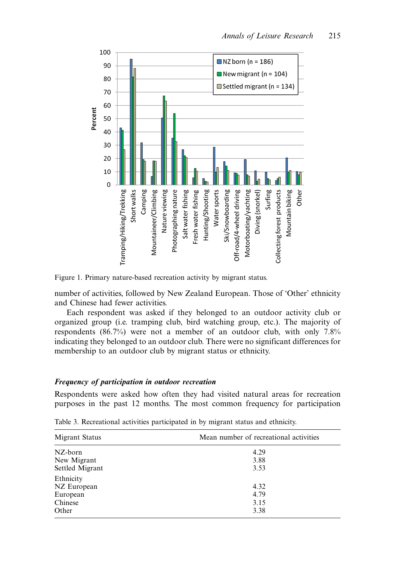

Figure 1. Primary nature-based recreation activity by migrant status.

number of activities, followed by New Zealand European. Those of 'Other' ethnicity and Chinese had fewer activities.

Each respondent was asked if they belonged to an outdoor activity club or organized group (i.e. tramping club, bird watching group, etc.). The majority of respondents (86.7%) were not a member of an outdoor club, with only 7.8% indicating they belonged to an outdoor club. There were no significant differences for membership to an outdoor club by migrant status or ethnicity.

### Frequency of participation in outdoor recreation

Respondents were asked how often they had visited natural areas for recreation purposes in the past 12 months. The most common frequency for participation

| Migrant Status                                           | Mean number of recreational activities |  |  |  |
|----------------------------------------------------------|----------------------------------------|--|--|--|
| NZ-born<br>New Migrant<br>Settled Migrant                | 4.29<br>3.88<br>3.53                   |  |  |  |
| Ethnicity<br>NZ European<br>European<br>Chinese<br>Other | 4.32<br>4.79<br>3.15<br>3.38           |  |  |  |

Table 3. Recreational activities participated in by migrant status and ethnicity.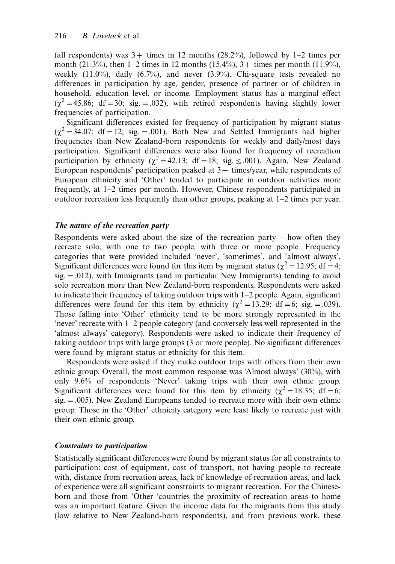(all respondents) was  $3+$  times in 12 months (28.2%), followed by 1–2 times per month (21.3%), then 1–2 times in 12 months (15.4%),  $3+$  times per month (11.9%), weekly (11.0%), daily (6.7%), and never (3.9%). Chi-square tests revealed no differences in participation by age, gender, presence of partner or of children in household, education level, or income. Employment status has a marginal effect  $(\chi^2 = 45.86; df = 30; sig. = .032)$ , with retired respondents having slightly lower frequencies of participation.

Significant differences existed for frequency of participation by migrant status  $(\chi^2 = 34.07; df = 12; sig. = .001)$ . Both New and Settled Immigrants had higher frequencies than New Zealand-born respondents for weekly and daily/most days participation. Significant differences were also found for frequency of recreation participation by ethnicity ( $\chi^2$  = 42.13; df = 18; sig.  $\leq$  001). Again, New Zealand European respondents' participation peaked at  $3+$  times/year, while respondents of European ethnicity and 'Other' tended to participate in outdoor activities more frequently, at 12 times per month. However, Chinese respondents participated in outdoor recreation less frequently than other groups, peaking at  $1-2$  times per year.

### The nature of the recreation party

Respondents were asked about the size of the recreation party  $-$  how often they recreate solo, with one to two people, with three or more people. Frequency categories that were provided included 'never', 'sometimes', and 'almost always'. Significant differences were found for this item by migrant status ( $\chi^2 = 12.95$ ; df = 4; sig. = .012), with Immigrants (and in particular New Immigrants) tending to avoid solo recreation more than New Zealand-born respondents. Respondents were asked to indicate their frequency of taking outdoor trips with  $1-2$  people. Again, significant differences were found for this item by ethnicity ( $\chi^2 = 13.29$ ; df = 6; sig. = .039). Those falling into 'Other' ethnicity tend to be more strongly represented in the 'never' recreate with  $1-2$  people category (and conversely less well represented in the 'almost always' category). Respondents were asked to indicate their frequency of taking outdoor trips with large groups (3 or more people). No significant differences were found by migrant status or ethnicity for this item.

Respondents were asked if they make outdoor trips with others from their own ethnic group. Overall, the most common response was 'Almost always' (30%), with only 9.6% of respondents 'Never' taking trips with their own ethnic group. Significant differences were found for this item by ethnicity ( $\chi^2 = 18.35$ ; df = 6; sig. = .005). New Zealand Europeans tended to recreate more with their own ethnic group. Those in the 'Other' ethnicity category were least likely to recreate just with their own ethnic group.

### Constraints to participation

Statistically significant differences were found by migrant status for all constraints to participation: cost of equipment, cost of transport, not having people to recreate with, distance from recreation areas, lack of knowledge of recreation areas, and lack of experience were all significant constraints to migrant recreation. For the Chineseborn and those from 'Other 'countries the proximity of recreation areas to home was an important feature. Given the income data for the migrants from this study (low relative to New Zealand-born respondents), and from previous work, these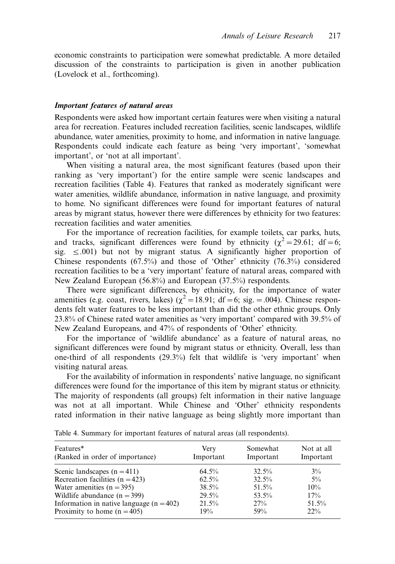economic constraints to participation were somewhat predictable. A more detailed discussion of the constraints to participation is given in another publication (Lovelock et al., forthcoming).

#### Important features of natural areas

Respondents were asked how important certain features were when visiting a natural area for recreation. Features included recreation facilities, scenic landscapes, wildlife abundance, water amenities, proximity to home, and information in native language. Respondents could indicate each feature as being 'very important', 'somewhat important', or 'not at all important'.

When visiting a natural area, the most significant features (based upon their ranking as 'very important') for the entire sample were scenic landscapes and recreation facilities (Table 4). Features that ranked as moderately significant were water amenities, wildlife abundance, information in native language, and proximity to home. No significant differences were found for important features of natural areas by migrant status, however there were differences by ethnicity for two features: recreation facilities and water amenities.

For the importance of recreation facilities, for example toilets, car parks, huts, and tracks, significant differences were found by ethnicity ( $\chi^2 = 29.61$ ; df = 6; sig.  $\leq .001$ ) but not by migrant status. A significantly higher proportion of Chinese respondents  $(67.5\%)$  and those of 'Other' ethnicity  $(76.3\%)$  considered recreation facilities to be a 'very important' feature of natural areas, compared with New Zealand European (56.8%) and European (37.5%) respondents.

There were significant differences, by ethnicity, for the importance of water amenities (e.g. coast, rivers, lakes) ( $\chi^2 = 18.91$ ; df = 6; sig. = .004). Chinese respondents felt water features to be less important than did the other ethnic groups. Only 23.8% of Chinese rated water amenities as 'very important' compared with 39.5% of New Zealand Europeans, and 47% of respondents of 'Other' ethnicity.

For the importance of 'wildlife abundance' as a feature of natural areas, no significant differences were found by migrant status or ethnicity. Overall, less than one-third of all respondents (29.3%) felt that wildlife is 'very important' when visiting natural areas.

For the availability of information in respondents' native language, no significant differences were found for the importance of this item by migrant status or ethnicity. The majority of respondents (all groups) felt information in their native language was not at all important. While Chinese and 'Other' ethnicity respondents rated information in their native language as being slightly more important than

| Features*<br>(Ranked in order of importance) | Very<br>Important | Somewhat<br>Important | Not at all<br>Important |
|----------------------------------------------|-------------------|-----------------------|-------------------------|
| Scenic landscapes $(n = 411)$                | $64.5\%$          | 32.5%                 | $3\%$                   |
| Recreation facilities $(n = 423)$            | 62.5%             | 32.5%                 | $5\%$                   |
| Water amenities $(n = 395)$                  | 38.5%             | 51.5%                 | 10%                     |
| Wildlife abundance $(n = 399)$               | 29.5%             | 53.5%                 | 17%                     |
| Information in native language $(n = 402)$   | 21.5%             | 27%                   | 51.5%                   |
| Proximity to home $(n = 405)$                | 19%               | 59%                   | $22\%$                  |

Table 4. Summary for important features of natural areas (all respondents).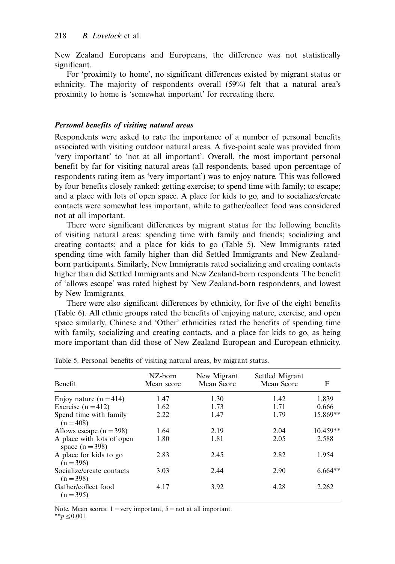New Zealand Europeans and Europeans, the difference was not statistically significant.

For 'proximity to home', no significant differences existed by migrant status or ethnicity. The majority of respondents overall (59%) felt that a natural area's proximity to home is 'somewhat important' for recreating there.

### Personal benefits of visiting natural areas

Respondents were asked to rate the importance of a number of personal benefits associated with visiting outdoor natural areas. A five-point scale was provided from 'very important' to 'not at all important'. Overall, the most important personal benefit by far for visiting natural areas (all respondents, based upon percentage of respondents rating item as 'very important') was to enjoy nature. This was followed by four benefits closely ranked: getting exercise; to spend time with family; to escape; and a place with lots of open space. A place for kids to go, and to socializes/create contacts were somewhat less important, while to gather/collect food was considered not at all important.

There were significant differences by migrant status for the following benefits of visiting natural areas: spending time with family and friends; socializing and creating contacts; and a place for kids to go (Table 5). New Immigrants rated spending time with family higher than did Settled Immigrants and New Zealandborn participants. Similarly, New Immigrants rated socializing and creating contacts higher than did Settled Immigrants and New Zealand-born respondents. The benefit of 'allows escape' was rated highest by New Zealand-born respondents, and lowest by New Immigrants.

There were also significant differences by ethnicity, for five of the eight benefits (Table 6). All ethnic groups rated the benefits of enjoying nature, exercise, and open space similarly. Chinese and 'Other' ethnicities rated the benefits of spending time with family, socializing and creating contacts, and a place for kids to go, as being more important than did those of New Zealand European and European ethnicity.

| <b>Benefit</b>                                 | NZ-born<br>Mean score | New Migrant<br>Mean Score | Settled Migrant<br>Mean Score | F         |
|------------------------------------------------|-----------------------|---------------------------|-------------------------------|-----------|
| Enjoy nature $(n = 414)$                       | 1.47                  | 1.30                      | 1.42                          | 1.839     |
| Exercise $(n = 412)$                           | 1.62                  | 1.73                      | 1.71                          | 0.666     |
| Spend time with family<br>$(n = 408)$          | 2.22                  | 1.47                      | 1.79                          | 15.869**  |
| Allows escape $(n = 398)$                      | 1.64                  | 2.19                      | 2.04                          | 10.459**  |
| A place with lots of open<br>space $(n = 398)$ | 1.80                  | 1.81                      | 2.05                          | 2.588     |
| A place for kids to go<br>$(n = 396)$          | 2.83                  | 2.45                      | 2.82                          | 1.954     |
| Socialize/create contacts<br>$(n = 398)$       | 3.03                  | 2.44                      | 2.90                          | $6.664**$ |
| Gather/collect food<br>$(n = 395)$             | 4.17                  | 3.92                      | 4.28                          | 2.262     |

Table 5. Personal benefits of visiting natural areas, by migrant status.

Note. Mean scores:  $1 = \text{very important}, 5 = \text{not at all important}.$ 

\*\* $p \le 0.001$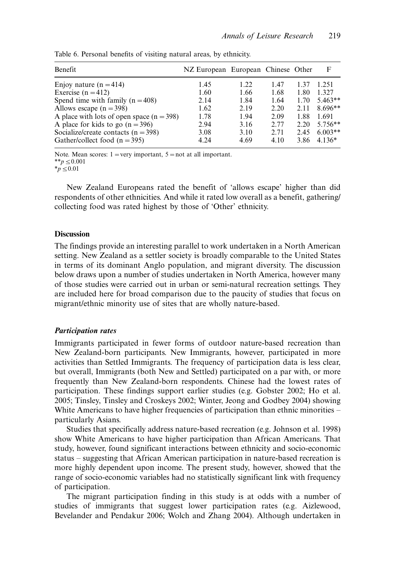| <b>Benefit</b>                              | NZ European European Chinese Other |      |      |      | F         |
|---------------------------------------------|------------------------------------|------|------|------|-----------|
| Enjoy nature $(n = 414)$                    | 1.45                               | 1.22 | 1.47 | 1.37 | 1.251     |
| Exercise $(n = 412)$                        | 1.60                               | 1.66 | 1.68 | 1.80 | 1.327     |
| Spend time with family $(n = 408)$          | 2.14                               | 1.84 | 1.64 | 1.70 | $5.463**$ |
| Allows escape $(n = 398)$                   | 1.62                               | 2.19 | 2.20 | 2.11 | $8.696**$ |
| A place with lots of open space $(n = 398)$ | 1.78                               | 1.94 | 2.09 | 1.88 | 1.691     |
| A place for kids to go $(n = 396)$          | 2.94                               | 3.16 | 2.77 | 2.20 | $5.756**$ |
| Socialize/create contacts $(n = 398)$       | 3.08                               | 3.10 | 2.71 | 2.45 | $6.003**$ |
| Gather/collect food $(n = 395)$             | 4.24                               | 4.69 | 4.10 | 3.86 | $4.136*$  |

Table 6. Personal benefits of visiting natural areas, by ethnicity.

Note. Mean scores:  $1 = \text{very important}, 5 = \text{not at all important}.$  $**_p<0.001$ 

 $*_{p} \leq 0.01$ 

New Zealand Europeans rated the benefit of 'allows escape' higher than did respondents of other ethnicities. And while it rated low overall as a benefit, gathering/ collecting food was rated highest by those of 'Other' ethnicity.

#### **Discussion**

The findings provide an interesting parallel to work undertaken in a North American setting. New Zealand as a settler society is broadly comparable to the United States in terms of its dominant Anglo population, and migrant diversity. The discussion below draws upon a number of studies undertaken in North America, however many of those studies were carried out in urban or semi-natural recreation settings. They are included here for broad comparison due to the paucity of studies that focus on migrant/ethnic minority use of sites that are wholly nature-based.

#### Participation rates

Immigrants participated in fewer forms of outdoor nature-based recreation than New Zealand-born participants. New Immigrants, however, participated in more activities than Settled Immigrants. The frequency of participation data is less clear, but overall, Immigrants (both New and Settled) participated on a par with, or more frequently than New Zealand-born respondents. Chinese had the lowest rates of participation. These findings support earlier studies (e.g. Gobster 2002; Ho et al. 2005; Tinsley, Tinsley and Croskeys 2002; Winter, Jeong and Godbey 2004) showing White Americans to have higher frequencies of participation than ethnic minorities – particularly Asians.

Studies that specifically address nature-based recreation (e.g. Johnson et al. 1998) show White Americans to have higher participation than African Americans. That study, however, found significant interactions between ethnicity and socio-economic status – suggesting that African American participation in nature-based recreation is more highly dependent upon income. The present study, however, showed that the range of socio-economic variables had no statistically significant link with frequency of participation.

The migrant participation finding in this study is at odds with a number of studies of immigrants that suggest lower participation rates (e.g. Aizlewood, Bevelander and Pendakur 2006; Wolch and Zhang 2004). Although undertaken in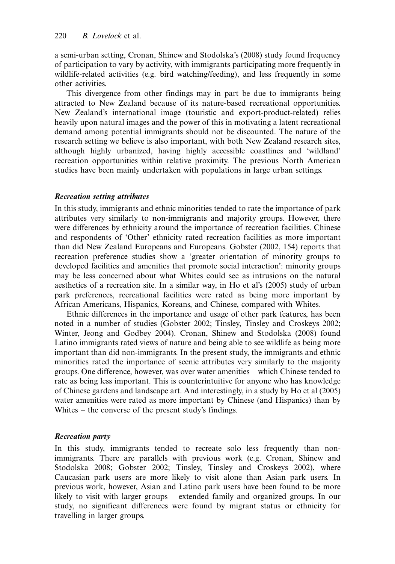a semi-urban setting, Cronan, Shinew and Stodolska's (2008) study found frequency of participation to vary by activity, with immigrants participating more frequently in wildlife-related activities (e.g. bird watching/feeding), and less frequently in some other activities.

This divergence from other findings may in part be due to immigrants being attracted to New Zealand because of its nature-based recreational opportunities. New Zealand's international image (touristic and export-product-related) relies heavily upon natural images and the power of this in motivating a latent recreational demand among potential immigrants should not be discounted. The nature of the research setting we believe is also important, with both New Zealand research sites, although highly urbanized, having highly accessible coastlines and 'wildland' recreation opportunities within relative proximity. The previous North American studies have been mainly undertaken with populations in large urban settings.

# Recreation setting attributes

In this study, immigrants and ethnic minorities tended to rate the importance of park attributes very similarly to non-immigrants and majority groups. However, there were differences by ethnicity around the importance of recreation facilities. Chinese and respondents of 'Other' ethnicity rated recreation facilities as more important than did New Zealand Europeans and Europeans. Gobster (2002, 154) reports that recreation preference studies show a 'greater orientation of minority groups to developed facilities and amenities that promote social interaction': minority groups may be less concerned about what Whites could see as intrusions on the natural aesthetics of a recreation site. In a similar way, in Ho et al's (2005) study of urban park preferences, recreational facilities were rated as being more important by African Americans, Hispanics, Koreans, and Chinese, compared with Whites.

Ethnic differences in the importance and usage of other park features, has been noted in a number of studies (Gobster 2002; Tinsley, Tinsley and Croskeys 2002; Winter, Jeong and Godbey 2004). Cronan, Shinew and Stodolska (2008) found Latino immigrants rated views of nature and being able to see wildlife as being more important than did non-immigrants. In the present study, the immigrants and ethnic minorities rated the importance of scenic attributes very similarly to the majority groups. One difference, however, was over water amenities  $-$  which Chinese tended to rate as being less important. This is counterintuitive for anyone who has knowledge of Chinese gardens and landscape art. And interestingly, in a study by Ho et al (2005) water amenities were rated as more important by Chinese (and Hispanics) than by Whites  $-$  the converse of the present study's findings.

# Recreation party

In this study, immigrants tended to recreate solo less frequently than nonimmigrants. There are parallels with previous work (e.g. Cronan, Shinew and Stodolska 2008; Gobster 2002; Tinsley, Tinsley and Croskeys 2002), where Caucasian park users are more likely to visit alone than Asian park users. In previous work, however, Asian and Latino park users have been found to be more likely to visit with larger groups – extended family and organized groups. In our study, no significant differences were found by migrant status or ethnicity for travelling in larger groups.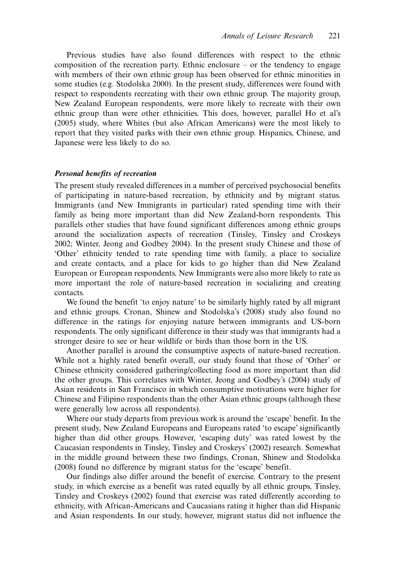Previous studies have also found differences with respect to the ethnic composition of the recreation party. Ethnic enclosure  $-$  or the tendency to engage with members of their own ethnic group has been observed for ethnic minorities in some studies (e.g. Stodolska 2000). In the present study, differences were found with respect to respondents recreating with their own ethnic group. The majority group, New Zealand European respondents, were more likely to recreate with their own ethnic group than were other ethnicities. This does, however, parallel Ho et al's (2005) study, where Whites (but also African Americans) were the most likely to report that they visited parks with their own ethnic group. Hispanics, Chinese, and Japanese were less likely to do so.

#### Personal benefits of recreation

The present study revealed differences in a number of perceived psychosocial benefits of participating in nature-based recreation, by ethnicity and by migrant status. Immigrants (and New Immigrants in particular) rated spending time with their family as being more important than did New Zealand-born respondents. This parallels other studies that have found significant differences among ethnic groups around the socialization aspects of recreation (Tinsley, Tinsley and Croskeys 2002; Winter, Jeong and Godbey 2004). In the present study Chinese and those of 'Other' ethnicity tended to rate spending time with family, a place to socialize and create contacts, and a place for kids to go higher than did New Zealand European or European respondents. New Immigrants were also more likely to rate as more important the role of nature-based recreation in socializing and creating contacts.

We found the benefit 'to enjoy nature' to be similarly highly rated by all migrant and ethnic groups. Cronan, Shinew and Stodolska's (2008) study also found no difference in the ratings for enjoying nature between immigrants and US-born respondents. The only significant difference in their study was that immigrants had a stronger desire to see or hear wildlife or birds than those born in the US.

Another parallel is around the consumptive aspects of nature-based recreation. While not a highly rated benefit overall, our study found that those of 'Other' or Chinese ethnicity considered gathering/collecting food as more important than did the other groups. This correlates with Winter, Jeong and Godbey's (2004) study of Asian residents in San Francisco in which consumptive motivations were higher for Chinese and Filipino respondents than the other Asian ethnic groups (although these were generally low across all respondents).

Where our study departs from previous work is around the 'escape' benefit. In the present study, New Zealand Europeans and Europeans rated 'to escape' significantly higher than did other groups. However, 'escaping duty' was rated lowest by the Caucasian respondents in Tinsley, Tinsley and Croskeys' (2002) research. Somewhat in the middle ground between these two findings, Cronan, Shinew and Stodolska (2008) found no difference by migrant status for the 'escape' benefit.

Our findings also differ around the benefit of exercise. Contrary to the present study, in which exercise as a benefit was rated equally by all ethnic groups, Tinsley, Tinsley and Croskeys (2002) found that exercise was rated differently according to ethnicity, with African-Americans and Caucasians rating it higher than did Hispanic and Asian respondents. In our study, however, migrant status did not influence the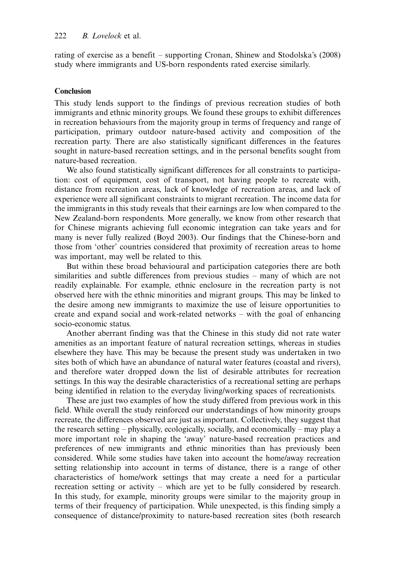rating of exercise as a benefit  $-$  supporting Cronan, Shinew and Stodolska's (2008) study where immigrants and US-born respondents rated exercise similarly.

### Conclusion

This study lends support to the findings of previous recreation studies of both immigrants and ethnic minority groups. We found these groups to exhibit differences in recreation behaviours from the majority group in terms of frequency and range of participation, primary outdoor nature-based activity and composition of the recreation party. There are also statistically significant differences in the features sought in nature-based recreation settings, and in the personal benefits sought from nature-based recreation.

We also found statistically significant differences for all constraints to participation: cost of equipment, cost of transport, not having people to recreate with, distance from recreation areas, lack of knowledge of recreation areas, and lack of experience were all significant constraints to migrant recreation. The income data for the immigrants in this study reveals that their earnings are low when compared to the New Zealand-born respondents. More generally, we know from other research that for Chinese migrants achieving full economic integration can take years and for many is never fully realized (Boyd 2003). Our findings that the Chinese-born and those from 'other' countries considered that proximity of recreation areas to home was important, may well be related to this.

But within these broad behavioural and participation categories there are both similarities and subtle differences from previous studies – many of which are not readily explainable. For example, ethnic enclosure in the recreation party is not observed here with the ethnic minorities and migrant groups. This may be linked to the desire among new immigrants to maximize the use of leisure opportunities to create and expand social and work-related networks  $-$  with the goal of enhancing socio-economic status.

Another aberrant finding was that the Chinese in this study did not rate water amenities as an important feature of natural recreation settings, whereas in studies elsewhere they have. This may be because the present study was undertaken in two sites both of which have an abundance of natural water features (coastal and rivers), and therefore water dropped down the list of desirable attributes for recreation settings. In this way the desirable characteristics of a recreational setting are perhaps being identified in relation to the everyday living/working spaces of recreationists.

These are just two examples of how the study differed from previous work in this field. While overall the study reinforced our understandings of how minority groups recreate, the differences observed are just as important. Collectively, they suggest that the research setting  $-$  physically, ecologically, socially, and economically  $-$  may play a more important role in shaping the 'away' nature-based recreation practices and preferences of new immigrants and ethnic minorities than has previously been considered. While some studies have taken into account the home/away recreation setting relationship into account in terms of distance, there is a range of other characteristics of home/work settings that may create a need for a particular recreation setting or activity  $-$  which are yet to be fully considered by research. In this study, for example, minority groups were similar to the majority group in terms of their frequency of participation. While unexpected, is this finding simply a consequence of distance/proximity to nature-based recreation sites (both research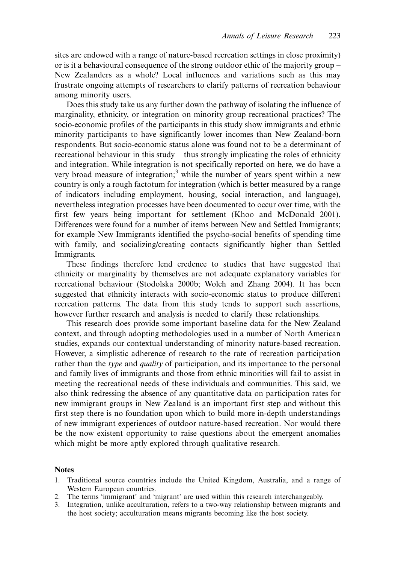sites are endowed with a range of nature-based recreation settings in close proximity) or is it a behavioural consequence of the strong outdoor ethic of the majority group New Zealanders as a whole? Local influences and variations such as this may frustrate ongoing attempts of researchers to clarify patterns of recreation behaviour among minority users.

Does this study take us any further down the pathway of isolating the influence of marginality, ethnicity, or integration on minority group recreational practices? The socio-economic profiles of the participants in this study show immigrants and ethnic minority participants to have significantly lower incomes than New Zealand-born respondents. But socio-economic status alone was found not to be a determinant of recreational behaviour in this study  $-$  thus strongly implicating the roles of ethnicity and integration. While integration is not specifically reported on here, we do have a very broad measure of integration;<sup>3</sup> while the number of years spent within a new country is only a rough factotum for integration (which is better measured by a range of indicators including employment, housing, social interaction, and language), nevertheless integration processes have been documented to occur over time, with the first few years being important for settlement (Khoo and McDonald 2001). Differences were found for a number of items between New and Settled Immigrants; for example New Immigrants identified the psycho-social benefits of spending time with family, and socializing/creating contacts significantly higher than Settled Immigrants.

These findings therefore lend credence to studies that have suggested that ethnicity or marginality by themselves are not adequate explanatory variables for recreational behaviour (Stodolska 2000b; Wolch and Zhang 2004). It has been suggested that ethnicity interacts with socio-economic status to produce different recreation patterns. The data from this study tends to support such assertions, however further research and analysis is needed to clarify these relationships.

This research does provide some important baseline data for the New Zealand context, and through adopting methodologies used in a number of North American studies, expands our contextual understanding of minority nature-based recreation. However, a simplistic adherence of research to the rate of recreation participation rather than the *type* and *quality* of participation, and its importance to the personal and family lives of immigrants and those from ethnic minorities will fail to assist in meeting the recreational needs of these individuals and communities. This said, we also think redressing the absence of any quantitative data on participation rates for new immigrant groups in New Zealand is an important first step and without this first step there is no foundation upon which to build more in-depth understandings of new immigrant experiences of outdoor nature-based recreation. Nor would there be the now existent opportunity to raise questions about the emergent anomalies which might be more aptly explored through qualitative research.

#### Notes

- 1. Traditional source countries include the United Kingdom, Australia, and a range of Western European countries.
- 2. The terms 'immigrant' and 'migrant' are used within this research interchangeably.
- 3. Integration, unlike acculturation, refers to a two-way relationship between migrants and the host society; acculturation means migrants becoming like the host society.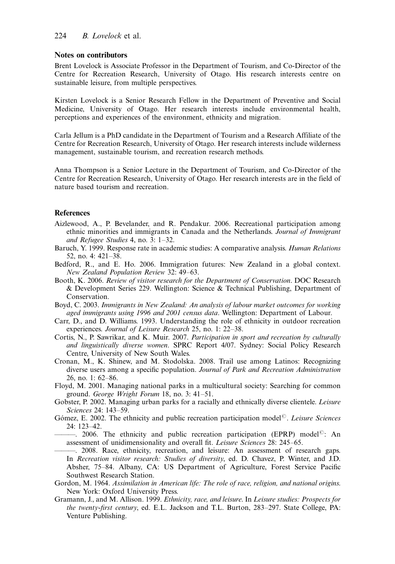# 224 B. Lovelock et al.

#### Notes on contributors

Brent Lovelock is Associate Professor in the Department of Tourism, and Co-Director of the Centre for Recreation Research, University of Otago. His research interests centre on sustainable leisure, from multiple perspectives.

Kirsten Lovelock is a Senior Research Fellow in the Department of Preventive and Social Medicine, University of Otago. Her research interests include environmental health, perceptions and experiences of the environment, ethnicity and migration.

Carla Jellum is a PhD candidate in the Department of Tourism and a Research Affiliate of the Centre for Recreation Research, University of Otago. Her research interests include wilderness management, sustainable tourism, and recreation research methods.

Anna Thompson is a Senior Lecture in the Department of Tourism, and Co-Director of the Centre for Recreation Research, University of Otago. Her research interests are in the field of nature based tourism and recreation.

#### References

- Aizlewood, A., P. Bevelander, and R. Pendakur. 2006. Recreational participation among ethnic minorities and immigrants in Canada and the Netherlands. Journal of Immigrant and Refugee Studies 4, no.  $3: 1-32$ .
- Baruch, Y. 1999. Response rate in academic studies: A comparative analysis. *Human Relations* 52, no. 4:  $421 - 38$ .
- Bedford, R., and E. Ho. 2006. Immigration futures: New Zealand in a global context. New Zealand Population Review 32: 49-63.
- Booth, K. 2006. Review of visitor research for the Department of Conservation. DOC Research & Development Series 229. Wellington: Science & Technical Publishing, Department of Conservation.
- Boyd, C. 2003. Immigrants in New Zealand: An analysis of labour market outcomes for working aged immigrants using 1996 and 2001 census data. Wellington: Department of Labour.
- Carr, D., and D. Williams. 1993. Understanding the role of ethnicity in outdoor recreation experiences. Journal of Leisure Research 25, no. 1: 22–38.
- Cortis, N., P. Sawrikar, and K. Muir. 2007. Participation in sport and recreation by culturally and linguistically diverse women. SPRC Report 4/07. Sydney: Social Policy Research Centre, University of New South Wales.
- Cronan, M., K. Shinew, and M. Stodolska. 2008. Trail use among Latinos: Recognizing diverse users among a specific population. Journal of Park and Recreation Administration 26, no. 1: 62-86.
- Floyd, M. 2001. Managing national parks in a multicultural society: Searching for common ground. George Wright Forum  $18$ , no. 3:  $41-51$ .
- Gobster, P. 2002. Managing urban parks for a racially and ethnically diverse clientele. Leisure Sciences 24: 143-59.
- Gómez, E. 2002. The ethnicity and public recreation participation model<sup>©</sup>. Leisure Sciences 24: 12342.
	- $-$ . 2006. The ethnicity and public recreation participation (EPRP) model<sup>©</sup>: An assessment of unidimensionality and overall fit. Leisure Sciences 28: 245–65.
	- -. 2008. Race, ethnicity, recreation, and leisure: An assessment of research gaps. In Recreation visitor research: Studies of diversity, ed. D. Chavez, P. Winter, and J.D. Absher, 75-84. Albany, CA: US Department of Agriculture, Forest Service Pacific Southwest Research Station.
- Gordon, M. 1964. Assimilation in American life: The role of race, religion, and national origins. New York: Oxford University Press.
- Gramann, J., and M. Allison. 1999. Ethnicity, race, and leisure. In Leisure studies: Prospects for the twenty-first century, ed. E.L. Jackson and T.L. Burton, 283-297. State College, PA: Venture Publishing.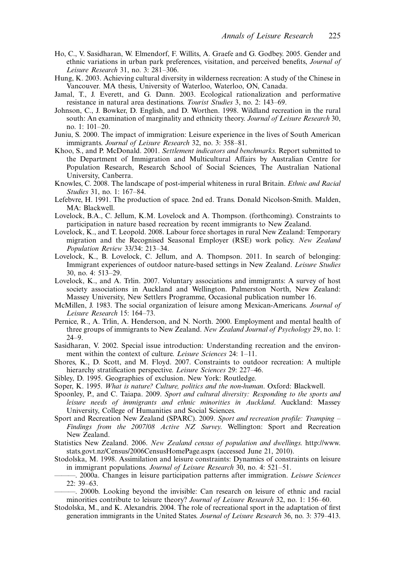- Ho, C., V. Sasidharan, W. Elmendorf, F. Willits, A. Graefe and G. Godbey. 2005. Gender and ethnic variations in urban park preferences, visitation, and perceived benefits, Journal of Leisure Research 31, no. 3: 281-306.
- Hung, K. 2003. Achieving cultural diversity in wilderness recreation: A study of the Chinese in Vancouver. MA thesis, University of Waterloo, Waterloo, ON, Canada.
- Jamal, T., J. Everett, and G. Dann. 2003. Ecological rationalization and performative resistance in natural area destinations. *Tourist Studies* 3, no. 2: 143–69.
- Johnson, C., J. Bowker, D. English, and D. Worthen. 1998. Wildland recreation in the rural south: An examination of marginality and ethnicity theory. Journal of Leisure Research 30, no.  $1: 101 - 20$ .
- Juniu, S. 2000. The impact of immigration: Leisure experience in the lives of South American immigrants. Journal of Leisure Research 32, no. 3: 358-81.
- Khoo, S., and P. McDonald. 2001. Settlement indicators and benchmarks. Report submitted to the Department of Immigration and Multicultural Affairs by Australian Centre for Population Research, Research School of Social Sciences, The Australian National University, Canberra.
- Knowles, C. 2008. The landscape of post-imperial whiteness in rural Britain. Ethnic and Racial Studies 31, no. 1: 167-84.
- Lefebvre, H. 1991. The production of space. 2nd ed. Trans. Donald Nicolson-Smith. Malden, MA: Blackwell.
- Lovelock, B.A., C. Jellum, K.M. Lovelock and A. Thompson. (forthcoming). Constraints to participation in nature based recreation by recent immigrants to New Zealand.
- Lovelock, K., and T. Leopold. 2008. Labour force shortages in rural New Zealand: Temporary migration and the Recognised Seasonal Employer (RSE) work policy. New Zealand Population Review 33/34: 213-34.
- Lovelock, K., B. Lovelock, C. Jellum, and A. Thompson. 2011. In search of belonging: Immigrant experiences of outdoor nature-based settings in New Zealand. Leisure Studies 30, no. 4: 513-29.
- Lovelock, K., and A. Trlin. 2007. Voluntary associations and immigrants: A survey of host society associations in Auckland and Wellington. Palmerston North, New Zealand: Massey University, New Settlers Programme, Occasional publication number 16.
- McMillen, J. 1983. The social organization of leisure among Mexican-Americans. Journal of Leisure Research 15: 164-73.
- Pernice, R., A. Trlin, A. Henderson, and N. North. 2000. Employment and mental health of three groups of immigrants to New Zealand. New Zealand Journal of Psychology 29, no. 1:  $24 - 9$ .
- Sasidharan, V. 2002. Special issue introduction: Understanding recreation and the environment within the context of culture. Leisure Sciences 24: 1-11.
- Shores, K., D. Scott, and M. Floyd. 2007. Constraints to outdoor recreation: A multiple hierarchy stratification perspective. *Leisure Sciences* 29: 227–46.
- Sibley, D. 1995. Geographies of exclusion. New York: Routledge.
- Soper, K. 1995. What is nature? Culture, politics and the non-human. Oxford: Blackwell.
- Spoonley, P., and C. Taiapa. 2009. Sport and cultural diversity: Responding to the sports and leisure needs of immigrants and ethnic minorities in Auckland. Auckland: Massey University, College of Humanities and Social Sciences.
- Sport and Recreation New Zealand (SPARC). 2009. Sport and recreation profile: Tramping -Findings from the 2007/08 Active NZ Survey. Wellington: Sport and Recreation New Zealand.
- Statistics New Zealand. 2006. New Zealand census of population and dwellings. [http://www.](http://www.stats.govt.nz/Census/2006CensusHomePage.aspx) [stats.govt.nz/Census/2006CensusHomePage.aspx](http://www.stats.govt.nz/Census/2006CensusHomePage.aspx) (accessed June 21, 2010).
- Stodolska, M. 1998. Assimilation and leisure constraints: Dynamics of constraints on leisure in immigrant populations. Journal of Leisure Research 30, no. 4: 521-51.
- -. 2000a. Changes in leisure participation patterns after immigration. Leisure Sciences  $22: 39-63.$
- -. 2000b. Looking beyond the invisible: Can research on leisure of ethnic and racial minorities contribute to leisure theory? Journal of Leisure Research 32, no. 1: 156–60.
- Stodolska, M., and K. Alexandris. 2004. The role of recreational sport in the adaptation of first generation immigrants in the United States. Journal of Leisure Research 36, no. 3: 379–413.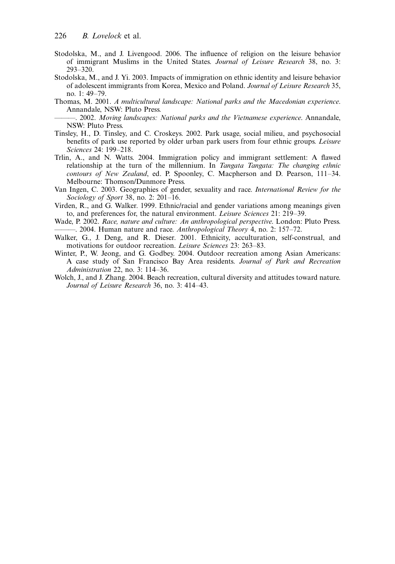- Stodolska, M., and J. Livengood. 2006. The influence of religion on the leisure behavior of immigrant Muslims in the United States. Journal of Leisure Research 38, no. 3:  $293 - 320$ .
- Stodolska, M., and J. Yi. 2003. Impacts of immigration on ethnic identity and leisure behavior of adolescent immigrants from Korea, Mexico and Poland. Journal of Leisure Research 35, no. 1: 49-79.
- Thomas, M. 2001. A multicultural landscape: National parks and the Macedonian experience. Annandale, NSW: Pluto Press.
- . 2002. Moving landscapes: National parks and the Vietnamese experience. Annandale, NSW: Pluto Press.
- Tinsley, H., D. Tinsley, and C. Croskeys. 2002. Park usage, social milieu, and psychosocial benefits of park use reported by older urban park users from four ethnic groups. Leisure Sciences 24: 199-218.
- Trlin, A., and N. Watts. 2004. Immigration policy and immigrant settlement: A flawed relationship at the turn of the millennium. In Tangata Tangata: The changing ethnic contours of New Zealand, ed. P. Spoonley, C. Macpherson and D. Pearson, 111-34. Melbourne: Thomson/Dunmore Press.
- Van Ingen, C. 2003. Geographies of gender, sexuality and race. International Review for the Sociology of Sport 38, no. 2:  $201-16$ .
- Virden, R., and G. Walker. 1999. Ethnic/racial and gender variations among meanings given to, and preferences for, the natural environment. Leisure Sciences 21: 219-39.
- Wade, P. 2002. Race, nature and culture: An anthropological perspective. London: Pluto Press.  $-$ . 2004. Human nature and race. Anthropological Theory 4, no. 2: 157–72.
- Walker, G., J. Deng, and R. Dieser. 2001. Ethnicity, acculturation, self-construal, and motivations for outdoor recreation. Leisure Sciences 23: 263-83.
- Winter, P., W. Jeong, and G. Godbey. 2004. Outdoor recreation among Asian Americans: A case study of San Francisco Bay Area residents. Journal of Park and Recreation Administration 22, no. 3: 114-36.
- Wolch, J., and J. Zhang. 2004. Beach recreation, cultural diversity and attitudes toward nature. Journal of Leisure Research 36, no. 3: 414-43.